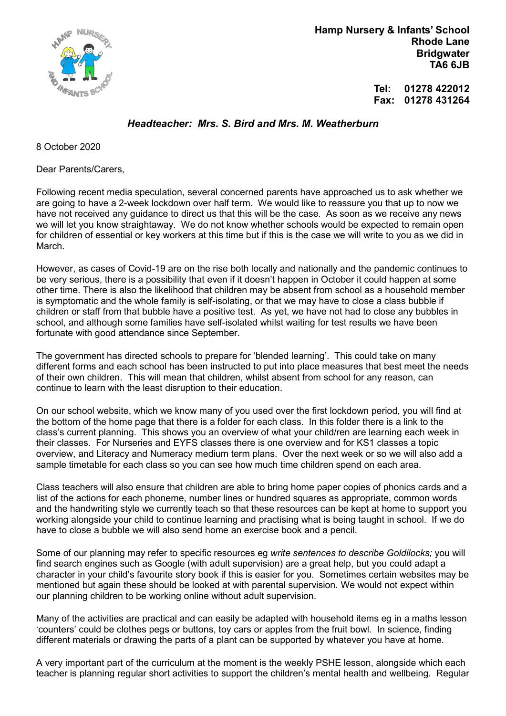

 Hamp Nursery & Infants' School Rhode Lane **Bridgwater** TA6 6JB

> Tel: 01278 422012 Fax: 01278 431264

## Headteacher: Mrs. S. Bird and Mrs. M. Weatherburn

8 October 2020

Dear Parents/Carers,

Following recent media speculation, several concerned parents have approached us to ask whether we are going to have a 2-week lockdown over half term. We would like to reassure you that up to now we have not received any guidance to direct us that this will be the case. As soon as we receive any news we will let you know straightaway. We do not know whether schools would be expected to remain open for children of essential or key workers at this time but if this is the case we will write to you as we did in March.

However, as cases of Covid-19 are on the rise both locally and nationally and the pandemic continues to be very serious, there is a possibility that even if it doesn't happen in October it could happen at some other time. There is also the likelihood that children may be absent from school as a household member is symptomatic and the whole family is self-isolating, or that we may have to close a class bubble if children or staff from that bubble have a positive test. As yet, we have not had to close any bubbles in school, and although some families have self-isolated whilst waiting for test results we have been fortunate with good attendance since September.

The government has directed schools to prepare for 'blended learning'. This could take on many different forms and each school has been instructed to put into place measures that best meet the needs of their own children. This will mean that children, whilst absent from school for any reason, can continue to learn with the least disruption to their education.

On our school website, which we know many of you used over the first lockdown period, you will find at the bottom of the home page that there is a folder for each class. In this folder there is a link to the class's current planning. This shows you an overview of what your child/ren are learning each week in their classes. For Nurseries and EYFS classes there is one overview and for KS1 classes a topic overview, and Literacy and Numeracy medium term plans. Over the next week or so we will also add a sample timetable for each class so you can see how much time children spend on each area.

Class teachers will also ensure that children are able to bring home paper copies of phonics cards and a list of the actions for each phoneme, number lines or hundred squares as appropriate, common words and the handwriting style we currently teach so that these resources can be kept at home to support you working alongside your child to continue learning and practising what is being taught in school. If we do have to close a bubble we will also send home an exercise book and a pencil.

Some of our planning may refer to specific resources eg write sentences to describe Goldilocks; you will find search engines such as Google (with adult supervision) are a great help, but you could adapt a character in your child's favourite story book if this is easier for you. Sometimes certain websites may be mentioned but again these should be looked at with parental supervision. We would not expect within our planning children to be working online without adult supervision.

Many of the activities are practical and can easily be adapted with household items eg in a maths lesson 'counters' could be clothes pegs or buttons, toy cars or apples from the fruit bowl. In science, finding different materials or drawing the parts of a plant can be supported by whatever you have at home.

A very important part of the curriculum at the moment is the weekly PSHE lesson, alongside which each teacher is planning regular short activities to support the children's mental health and wellbeing. Regular